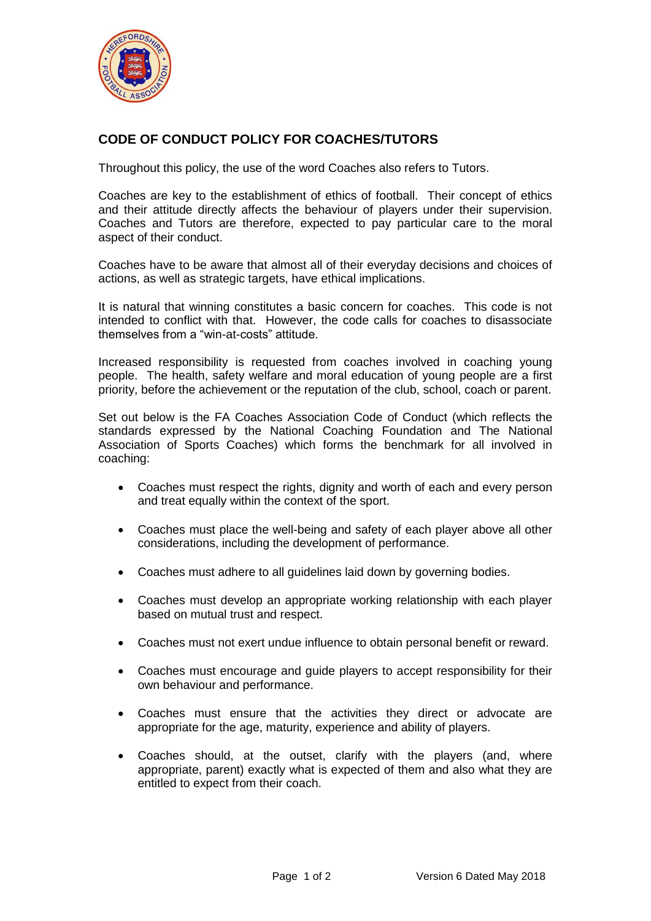

## **CODE OF CONDUCT POLICY FOR COACHES/TUTORS**

Throughout this policy, the use of the word Coaches also refers to Tutors.

Coaches are key to the establishment of ethics of football. Their concept of ethics and their attitude directly affects the behaviour of players under their supervision. Coaches and Tutors are therefore, expected to pay particular care to the moral aspect of their conduct.

Coaches have to be aware that almost all of their everyday decisions and choices of actions, as well as strategic targets, have ethical implications.

It is natural that winning constitutes a basic concern for coaches. This code is not intended to conflict with that. However, the code calls for coaches to disassociate themselves from a "win-at-costs" attitude.

Increased responsibility is requested from coaches involved in coaching young people. The health, safety welfare and moral education of young people are a first priority, before the achievement or the reputation of the club, school, coach or parent.

Set out below is the FA Coaches Association Code of Conduct (which reflects the standards expressed by the National Coaching Foundation and The National Association of Sports Coaches) which forms the benchmark for all involved in coaching:

- Coaches must respect the rights, dignity and worth of each and every person and treat equally within the context of the sport.
- Coaches must place the well-being and safety of each player above all other considerations, including the development of performance.
- Coaches must adhere to all guidelines laid down by governing bodies.
- Coaches must develop an appropriate working relationship with each player based on mutual trust and respect.
- Coaches must not exert undue influence to obtain personal benefit or reward.
- Coaches must encourage and guide players to accept responsibility for their own behaviour and performance.
- Coaches must ensure that the activities they direct or advocate are appropriate for the age, maturity, experience and ability of players.
- Coaches should, at the outset, clarify with the players (and, where appropriate, parent) exactly what is expected of them and also what they are entitled to expect from their coach.